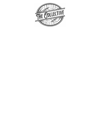